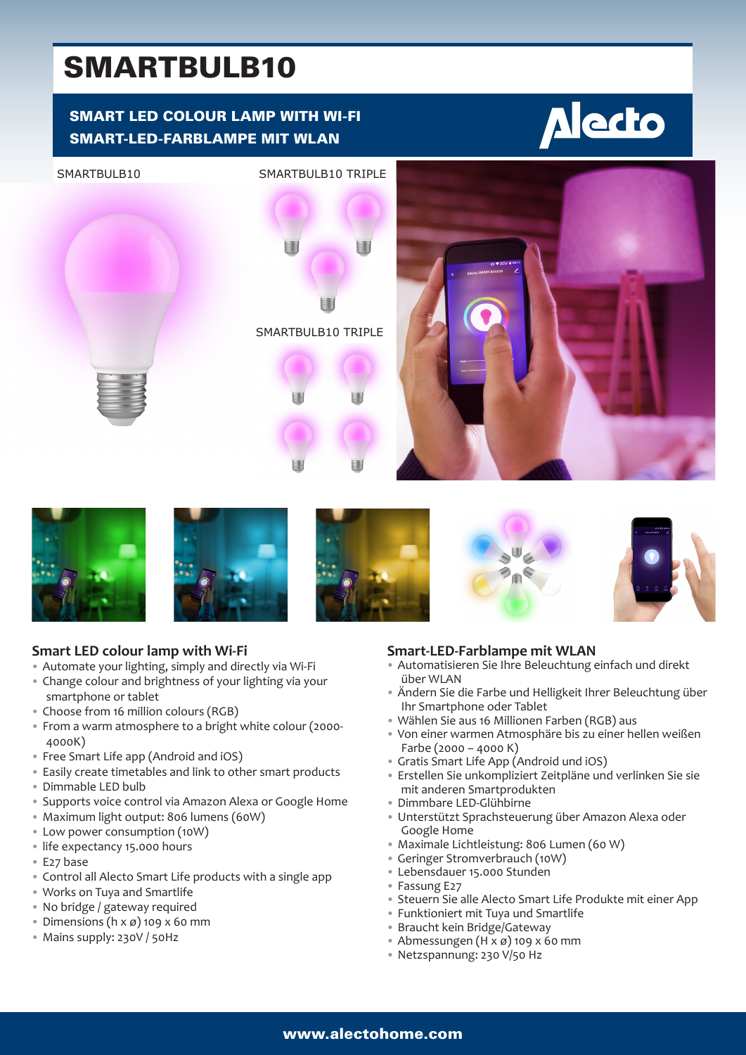# SMARTBULB10

# SMART LED COLOUR LAMP WITH WI-FI SMART-LED-FARBLAMPE MIT WLAN















# **Smart LED colour lamp with Wi-Fi**

- Automate your lighting, simply and directly via Wi-Fi
- Change colour and brightness of your lighting via your smartphone or tablet
- Choose from 16 million colours (RGB)
- From a warm atmosphere to a bright white colour (2000- 4000K)
- Free Smart Life app (Android and iOS)
- Easily create timetables and link to other smart products
- Dimmable LED bulb
- Supports voice control via Amazon Alexa or Google Home
- Maximum light output: 806 lumens (60W)
- Low power consumption (10W)
- life expectancy 15.000 hours
- E27 base
- Control all Alecto Smart Life products with a single app
- Works on Tuya and Smartlife
- No bridge / gateway required
- Dimensions ( $h \times g$ ) 109  $x$  60 mm
- Mains supply: 230V / 50Hz

## **Smart-LED-Farblampe mit WLAN**

- Automatisieren Sie Ihre Beleuchtung einfach und direkt über WLAN
- Ändern Sie die Farbe und Helligkeit Ihrer Beleuchtung über Ihr Smartphone oder Tablet
- Wählen Sie aus 16 Millionen Farben (RGB) aus
- Von einer warmen Atmosphäre bis zu einer hellen weißen Farbe (2000 – 4000 K)
- Gratis Smart Life App (Android und iOS)
- Erstellen Sie unkompliziert Zeitpläne und verlinken Sie sie mit anderen Smartprodukten
- Dimmbare LED-Glühbirne
- Unterstützt Sprachsteuerung über Amazon Alexa oder Google Home
- Maximale Lichtleistung: 806 Lumen (60 W)
- Geringer Stromverbrauch (10W)
- Lebensdauer 15.000 Stunden
- Fassung E27
- Steuern Sie alle Alecto Smart Life Produkte mit einer App
- Funktioniert mit Tuya und Smartlife
- Braucht kein Bridge/Gateway
- Abmessungen (H x ø) 109 x 60 mm
- Netzspannung: 230 V/50 Hz